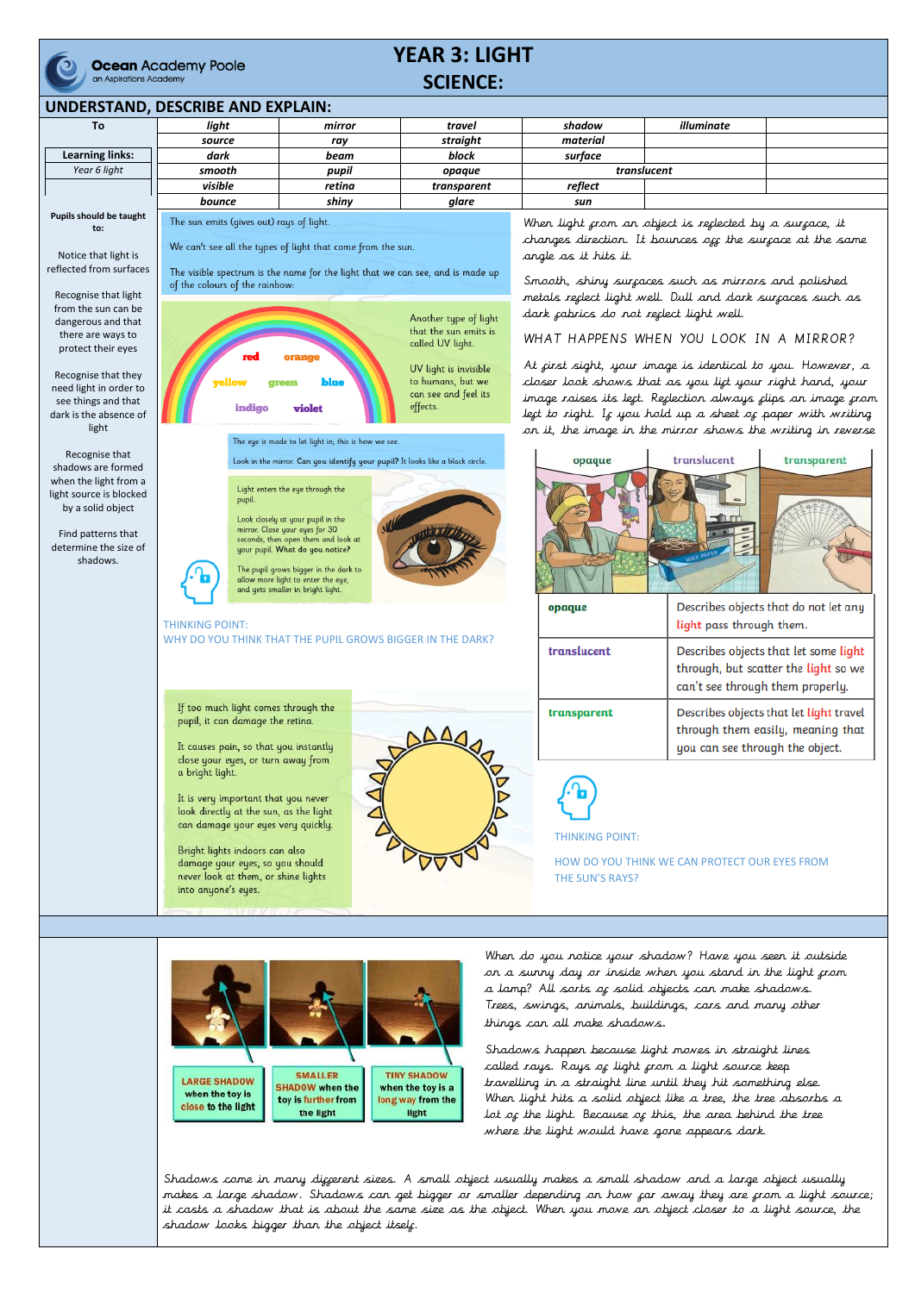

**Ocean** Academy Poole an Aspirations Academy

## **YEAR 3: LIGHT SCIENCE:**

## **UNDERSTAND, DESCRIBE AND EXPLAIN:**

Shadows come in many digjerent sizes. A small object usually makes a small shadow and a large object usually makes a large shadow. Shadows can get bigger or smaller depending on how far away they are from a light source; it casts a shadow that is about the same size as the object. When you move an object closer to a light source, the shadow looks bigger than the object itself.

| To                                                                                                                                                                                                                                                                         | light                                                                                                                                                                                                                                                                                                                                                                                                                                                                                    | mirror                                                                                                                                                             | travel                                                                                                                                               | shadow                                                                                                                                                                                                                                                                                                                                                                                                                                                                                                                                                 | illuminate                      |                                                                                                                                               |
|----------------------------------------------------------------------------------------------------------------------------------------------------------------------------------------------------------------------------------------------------------------------------|------------------------------------------------------------------------------------------------------------------------------------------------------------------------------------------------------------------------------------------------------------------------------------------------------------------------------------------------------------------------------------------------------------------------------------------------------------------------------------------|--------------------------------------------------------------------------------------------------------------------------------------------------------------------|------------------------------------------------------------------------------------------------------------------------------------------------------|--------------------------------------------------------------------------------------------------------------------------------------------------------------------------------------------------------------------------------------------------------------------------------------------------------------------------------------------------------------------------------------------------------------------------------------------------------------------------------------------------------------------------------------------------------|---------------------------------|-----------------------------------------------------------------------------------------------------------------------------------------------|
|                                                                                                                                                                                                                                                                            | source                                                                                                                                                                                                                                                                                                                                                                                                                                                                                   | ray                                                                                                                                                                | straight                                                                                                                                             | material                                                                                                                                                                                                                                                                                                                                                                                                                                                                                                                                               |                                 |                                                                                                                                               |
| <b>Learning links:</b>                                                                                                                                                                                                                                                     | dark                                                                                                                                                                                                                                                                                                                                                                                                                                                                                     | beam                                                                                                                                                               | block                                                                                                                                                | surface                                                                                                                                                                                                                                                                                                                                                                                                                                                                                                                                                |                                 |                                                                                                                                               |
| Year 6 light                                                                                                                                                                                                                                                               | smooth                                                                                                                                                                                                                                                                                                                                                                                                                                                                                   | pupil                                                                                                                                                              | opaque                                                                                                                                               | translucent                                                                                                                                                                                                                                                                                                                                                                                                                                                                                                                                            |                                 |                                                                                                                                               |
|                                                                                                                                                                                                                                                                            | visible                                                                                                                                                                                                                                                                                                                                                                                                                                                                                  | retina                                                                                                                                                             | transparent                                                                                                                                          | reflect                                                                                                                                                                                                                                                                                                                                                                                                                                                                                                                                                |                                 |                                                                                                                                               |
|                                                                                                                                                                                                                                                                            | bounce                                                                                                                                                                                                                                                                                                                                                                                                                                                                                   | shiny                                                                                                                                                              | glare                                                                                                                                                | sun                                                                                                                                                                                                                                                                                                                                                                                                                                                                                                                                                    |                                 |                                                                                                                                               |
| Pupils should be taught<br>to:                                                                                                                                                                                                                                             | The sun emits (gives out) rays of light.<br>We can't see all the types of light that come from the sun.                                                                                                                                                                                                                                                                                                                                                                                  |                                                                                                                                                                    |                                                                                                                                                      | When light from an object is reflected by a surface, it<br>changes direction. It bounces off the surface at the same                                                                                                                                                                                                                                                                                                                                                                                                                                   |                                 |                                                                                                                                               |
| Notice that light is<br>reflected from surfaces<br>Recognise that light<br>from the sun can be<br>dangerous and that<br>there are ways to<br>protect their eyes<br>Recognise that they<br>need light in order to<br>see things and that<br>dark is the absence of<br>light | of the colours of the rainbow:<br>7ello<br>indigo                                                                                                                                                                                                                                                                                                                                                                                                                                        | The visible spectrum is the name for the light that we can see, and is made up<br>orange<br>blue<br>violet<br>The eye is made to let light in; this is how we see. | Another type of light<br>that the sun emits is<br>called UV light.<br>UV light is invisible<br>to humans, but we<br>can see and feel its<br>effects. | angle as it hits it.<br>Smooth, shiny surfaces such as mirrors and polished<br>metals replect light well. Dull and dark surpaces such as<br>dark cabrics do not replect light well.<br>WHAT HAPPENS WHEN YOU LOOK IN A MIRROR?<br>At cirst sight, your image is identical to you. However, a<br>closer look shows that as you lift your right hand, your<br>image raises its lect. Reclection always clips an image crom<br>legt to right. If you hold up a sheet of paper with writing<br>on it, the image in the mirror shows the writing in reverse |                                 |                                                                                                                                               |
| Recognise that<br>shadows are formed<br>when the light from a<br>light source is blocked<br>by a solid object<br>Find patterns that<br>determine the size of<br>shadows.                                                                                                   | Look in the mirror. Can you identify your pupil? It looks like a black circle.<br>Light enters the eye through the<br>pupil.<br>Look closely at your pupil in the<br>mirror. Close your eyes for 30<br>seconds, then open them and look at<br>your pupil. What do you notice?<br>The pupil grows bigger in the dark to<br>allow more light to enter the eye,<br>and gets smaller in bright light.<br><b>THINKING POINT:</b><br>WHY DO YOU THINK THAT THE PUPIL GROWS BIGGER IN THE DARK? |                                                                                                                                                                    |                                                                                                                                                      | translucent<br>transparent<br>opaque<br>Describes objects that do not let any<br>opaque                                                                                                                                                                                                                                                                                                                                                                                                                                                                |                                 |                                                                                                                                               |
|                                                                                                                                                                                                                                                                            |                                                                                                                                                                                                                                                                                                                                                                                                                                                                                          |                                                                                                                                                                    |                                                                                                                                                      | translucent                                                                                                                                                                                                                                                                                                                                                                                                                                                                                                                                            |                                 | light pass through them.<br>Describes objects that let some light<br>through, but scatter the light so we<br>can't see through them properly. |
|                                                                                                                                                                                                                                                                            | If too much light comes through the<br>pupil, it can damage the retina.<br>It causes pain, so that you instantly<br>close your eyes, or turn away from<br>a bright light.<br>It is very important that you never<br>look directly at the sun, as the light<br>can damage your eyes very quickly.<br>Bright lights indoors can also<br>damage your eyes, so you should<br>never look at them, or shine lights<br>into anyone's eyes.<br><b>MARKATION AND THE REAL PROPERTY</b>            |                                                                                                                                                                    |                                                                                                                                                      | transparent                                                                                                                                                                                                                                                                                                                                                                                                                                                                                                                                            | you can see through the object. | Describes objects that let light travel<br>through them easily, meaning that                                                                  |
|                                                                                                                                                                                                                                                                            |                                                                                                                                                                                                                                                                                                                                                                                                                                                                                          |                                                                                                                                                                    |                                                                                                                                                      | <b>THINKING POINT:</b><br>HOW DO YOU THINK WE CAN PROTECT OUR EYES FROM<br>THE SUN'S RAYS?                                                                                                                                                                                                                                                                                                                                                                                                                                                             |                                 |                                                                                                                                               |

When do you notice your shadow? Have you seen it outside on a sunny day or inside when you stand in the light from



a lamp? All sorts of solid objects can make shadows. Trees, swings, animals, buildings, cars and many other things can all make shadows.

Shadows happen because light moves in straight lines called rays. Rays of light from a light source keep travelling in a straight line until they hit something else. When light hits a solid object like a tree, the tree absorbs a lot of the light. Because of this, the area behind the tree where the light would have gone appears dark.